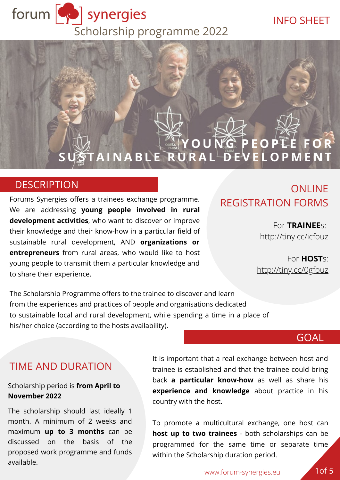

#### INFO SHEET

## **Y O U N G P E O P L E F O R STAINABLE RURAL DEVELOPMENT**

#### **DESCRIPTION**

Forums Synergies offers a trainees exchange programme. We are addressing **young people involved in rural development activities**, who want to discover or improve their knowledge and their know-how in a particular field of sustainable rural development, AND **organizations or entrepreneurs** from rural areas, who would like to host young people to transmit them a particular knowledge and to share their experience.

## **ONLINE** REGISTRATION FORMS

For **TRAINEE**s: <http://tiny.cc/icfouz>

For **HOST**s: <http://tiny.cc/0gfouz>

The Scholarship Programme offers to the trainee to discover and learn from the experiences and practices of people and organisations dedicated to sustainable local and rural development, while spending a time in a place of his/her choice (according to the hosts availability).

#### GOAL

#### TIME AND DURATION

#### Scholarship period is **from April to November 2022**

The scholarship should last ideally 1 month. A minimum of 2 weeks and maximum **up to 3 months** can be discussed on the basis of the proposed work programme and funds available.

It is important that a real exchange between host and trainee is established and that the trainee could bring back **a particular know-how** as well as share his **experience and knowledge** about practice in his country with the host.

To promote a multicultural exchange, one host can **host up to two trainees** - both scholarships can be programmed for the same time or separate time within the Scholarship duration period.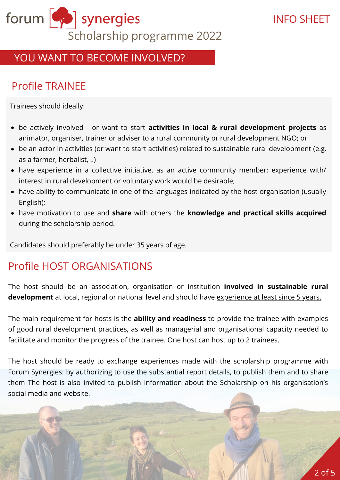

## YOU WANT TO BECOME INVOLVED?

## Profile TRAINEE

Trainees should ideally:

- be actively involved or want to start **activities in local & rural development projects** as animator, organiser, trainer or adviser to a rural community or rural development NGO; or
- be an actor in activities (or want to start activities) related to sustainable rural development (e.g. as a farmer, herbalist, ..)
- have experience in a collective initiative, as an active community member; experience with/ interest in rural development or voluntary work would be desirable;
- have ability to communicate in one of the languages indicated by the host organisation (usually English);
- have motivation to use and **share** with others the **knowledge and practical skills acquired** during the scholarship period.

Candidates should preferably be under 35 years of age.

## Profile HOST ORGANISATIONS

The host should be an association, organisation or institution **involved in sustainable rural development** at local, regional or national level and should have experience at least since 5 years.

The main requirement for hosts is the **ability and readiness** to provide the trainee with examples of good rural development practices, as well as managerial and organisational capacity needed to facilitate and monitor the progress of the trainee. One host can host up to 2 trainees.

The host should be ready to exchange experiences made with the scholarship programme with Forum Synergies: by authorizing to use the substantial report details, to publish them and to share them The host is also invited to publish information about the Scholarship on his organisation's social media and website.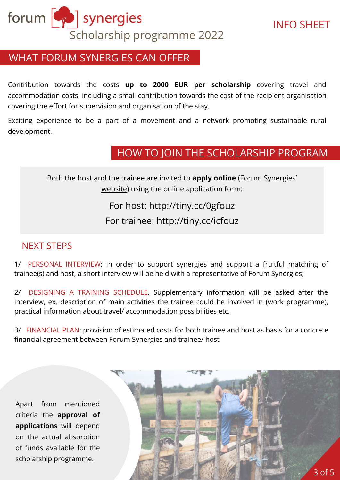

## WHAT FORUM SYNERGIES CAN OFFER

Contribution towards the costs **up to 2000 EUR per scholarship** covering travel and accommodation costs, including a small contribution towards the cost of the recipient organisation covering the effort for supervision and organisation of the stay.

Exciting experience to be a part of a movement and a network promoting sustainable rural development.

## HOW TO JOIN THE SCHOLARSHIP PROGRAM

Both the host and the trainee are invited to **apply online** (Forum Synergies' [website\) using the online application form:](https://www.forum-synergies.eu/article154.html)

## For host:<http://tiny.cc/0gfouz> For trainee: <http://tiny.cc/icfouz>

#### NEXT STEPS

1/ PERSONAL INTERVIEW: In order to support synergies and support a fruitful matching of trainee(s) and host, a short interview will be held with a representative of Forum Synergies;

2/ DESIGNING A TRAINING SCHEDULE. Supplementary information will be asked after the interview, ex. description of main activities the trainee could be involved in (work programme), practical information about travel/ accommodation possibilities etc.

3/ FINANCIAL PLAN: provision of estimated costs for both trainee and host as basis for a concrete financial agreement between Forum Synergies and trainee/ host

Apart from mentioned criteria the **approval of applications** will depend on the actual absorption of funds available for the scholarship programme.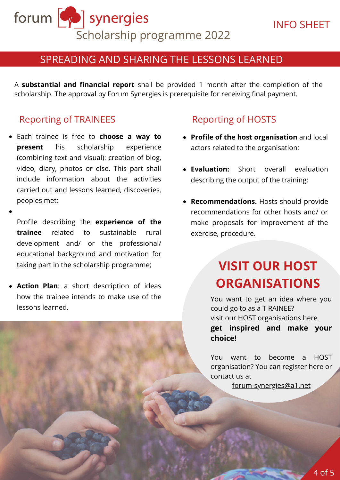forum [Sull] synergies Scholarship programme 2022

### SPREADING AND SHARING THE LESSONS LEARNED

A **substantial and financial report** shall be provided 1 month after the completion of the scholarship. The approval by Forum Synergies is prerequisite for receiving final payment.

#### Reporting of TRAINEES Reporting of HOSTS

- Each trainee is free to **choose a way to present** his scholarship experience (combining text and visual): creation of blog, video, diary, photos or else. This part shall include information about the activities carried out and lessons learned, discoveries, peoples met;
- Profile describing the **experience of the trainee** related to sustainable rural development and/ or the professional/ educational background and motivation for taking part in the scholarship programme;
- **Action Plan**: a short description of ideas how the trainee intends to make use of the lessons learned.

- **Profile of the host organisation** and local actors related to the organisation;
- **Evaluation:** Short overall evaluation describing the output of the training;
- **Recommendations.** Hosts should provide recommendations for other hosts and/ or make proposals for improvement of the exercise, procedure.

# **VISIT OUR HOST ORGANISATIONS**

You want to get an idea where you could go to as a T RAINEE? [visit our HOST organisations here](https://scholarship2021670650963.wordpress.com/2021/02/08/hosts/) **get inspired and make your choice!**

You want to become a HOST organisation? You can register here or contact us at

[forum-synergies@a1.net](mailto:forum-synergies@a1.net)